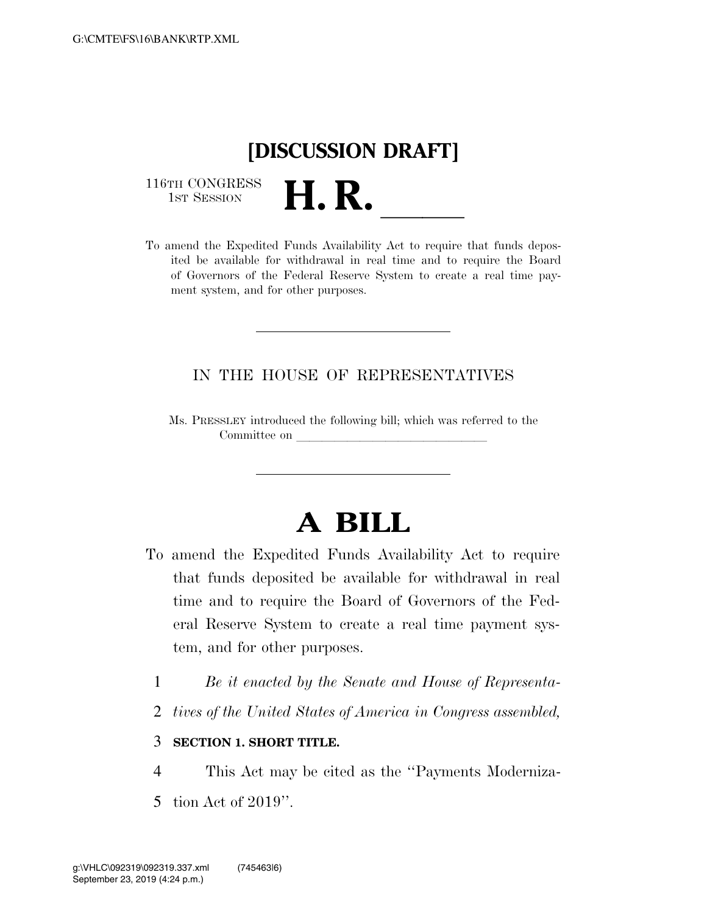## **[DISCUSSION DRAFT]**

116TH CONGRESS<br>1st Session

116TH CONGRESS<br>1st SESSION **H. R.** <u>Indicession of the Expedited Funds Availability</u> Act to require that funds deposited be available for withdrawal in real time and to require the Board of Governors of the Federal Reserve System to create a real time payment system, and for other purposes.

### IN THE HOUSE OF REPRESENTATIVES

Ms. PRESSLEY introduced the following bill; which was referred to the Committee on

# **A BILL**

- To amend the Expedited Funds Availability Act to require that funds deposited be available for withdrawal in real time and to require the Board of Governors of the Federal Reserve System to create a real time payment system, and for other purposes.
	- 1 *Be it enacted by the Senate and House of Representa-*
	- 2 *tives of the United States of America in Congress assembled,*

#### 3 **SECTION 1. SHORT TITLE.**

- 4 This Act may be cited as the ''Payments Moderniza-
- 5 tion Act of 2019''.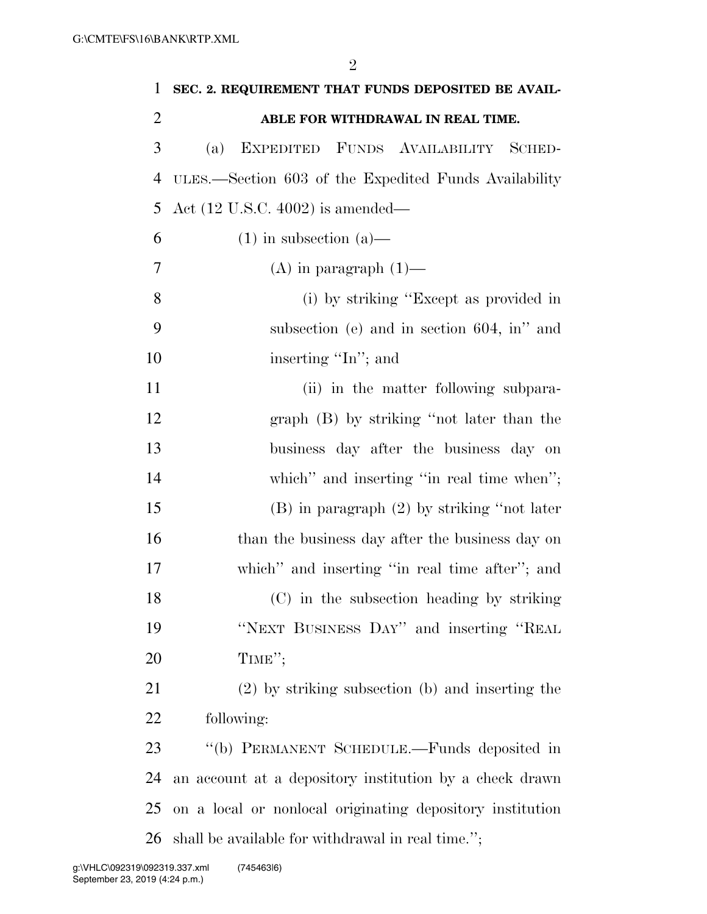| $\mathbf{1}$   | SEC. 2. REQUIREMENT THAT FUNDS DEPOSITED BE AVAIL-        |
|----------------|-----------------------------------------------------------|
| $\overline{2}$ | ABLE FOR WITHDRAWAL IN REAL TIME.                         |
| 3              | EXPEDITED FUNDS AVAILABILITY SCHED-<br>(a)                |
| 4              | ULES.—Section 603 of the Expedited Funds Availability     |
| 5              | Act $(12 \text{ U.S.C. } 4002)$ is amended—               |
| 6              | $(1)$ in subsection $(a)$ —                               |
| 7              | $(A)$ in paragraph $(1)$ —                                |
| 8              | (i) by striking "Except as provided in                    |
| 9              | subsection (e) and in section $604$ , in" and             |
| 10             | inserting "In"; and                                       |
| 11             | (ii) in the matter following subpara-                     |
| 12             | graph (B) by striking "not later than the                 |
| 13             | business day after the business day on                    |
| 14             | which" and inserting "in real time when";                 |
| 15             | $(B)$ in paragraph $(2)$ by striking "not later           |
| 16             | than the business day after the business day on           |
| 17             | which" and inserting "in real time after"; and            |
| 18             | (C) in the subsection heading by striking                 |
| 19             | "NEXT BUSINESS DAY" and inserting "REAL                   |
| 20             | TIME";                                                    |
| 21             | $(2)$ by striking subsection (b) and inserting the        |
| 22             | following:                                                |
| 23             | "(b) PERMANENT SCHEDULE.—Funds deposited in               |
| 24             | an account at a depository institution by a check drawn   |
| 25             | on a local or nonlocal originating depository institution |
| 26             | shall be available for withdrawal in real time.";         |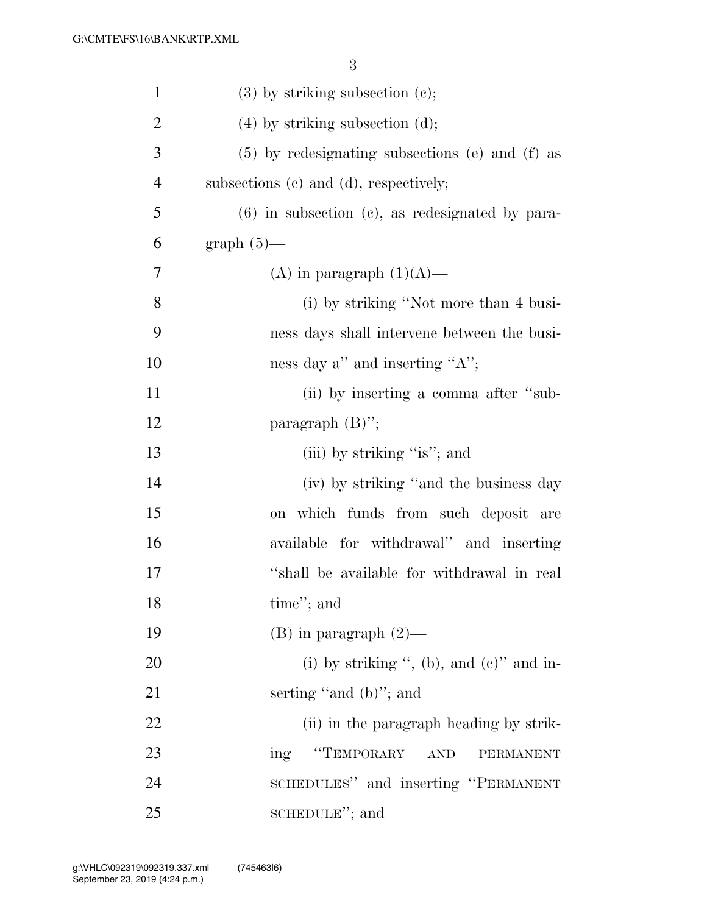| $\mathbf{1}$   | $(3)$ by striking subsection $(c)$ ;                 |
|----------------|------------------------------------------------------|
| $\overline{2}$ | $(4)$ by striking subsection $(d)$ ;                 |
| 3              | $(5)$ by redesignating subsections (e) and (f) as    |
| $\overline{4}$ | subsections (c) and (d), respectively;               |
| 5              | $(6)$ in subsection $(c)$ , as redesignated by para- |
| 6              | $graph(5)$ —                                         |
| 7              | (A) in paragraph $(1)(A)$ —                          |
| 8              | (i) by striking "Not more than 4 busi-               |
| 9              | ness days shall intervene between the busi-          |
| 10             | ness day a" and inserting " $A$ ";                   |
| 11             | (ii) by inserting a comma after "sub-                |
| 12             | paragraph $(B)$ ";                                   |
| 13             | (iii) by striking "is"; and                          |
| 14             | (iv) by striking "and the business day               |
| 15             | on which funds from such deposit are                 |
| 16             | available for withdrawal" and inserting              |
| 17             | "shall be available for withdrawal in real           |
| 18             | time"; and                                           |
| 19             | $(B)$ in paragraph $(2)$ —                           |
| 20             | (i) by striking ", (b), and $(e)$ " and in-          |
| 21             | serting "and (b)"; and                               |
| 22             | (ii) in the paragraph heading by strik-              |
| 23             | "TEMPORARY<br>AND<br>ing<br>PERMANENT                |
| 24             | SCHEDULES" and inserting "PERMANENT                  |
| 25             | SCHEDULE"; and                                       |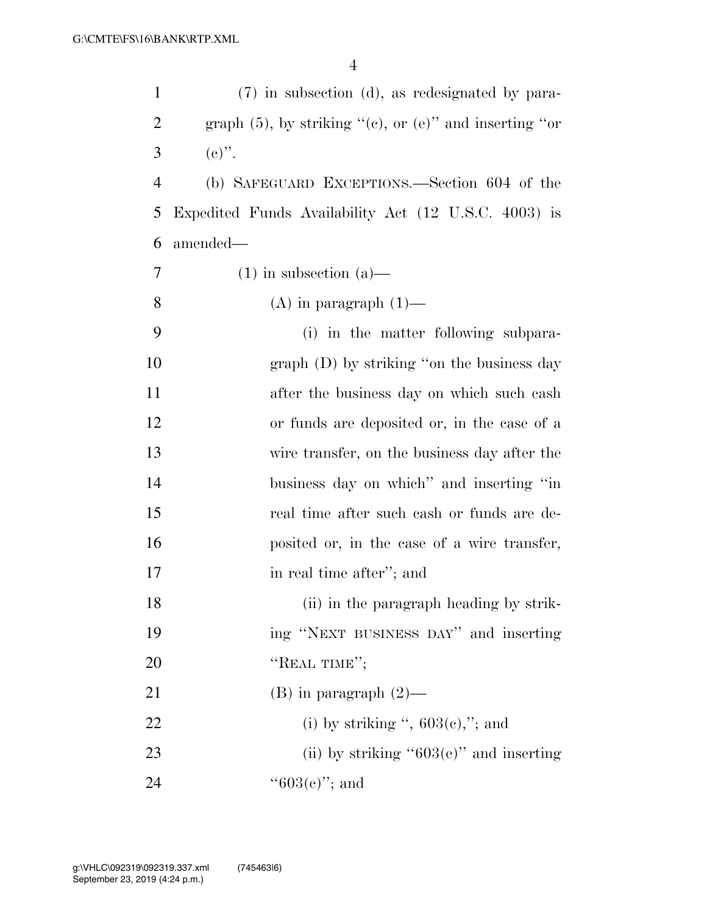| $\mathbf{1}$   | $(7)$ in subsection (d), as redesignated by para-                |
|----------------|------------------------------------------------------------------|
| $\overline{2}$ | graph $(5)$ , by striking " $(e)$ , or $(e)$ " and inserting "or |
| 3              | $(e)$ ".                                                         |
| $\overline{4}$ | (b) SAFEGUARD EXCEPTIONS.—Section 604 of the                     |
| 5              | Expedited Funds Availability Act (12 U.S.C. 4003) is             |
| 6              | amended—                                                         |
| $\overline{7}$ | $(1)$ in subsection $(a)$ —                                      |
| 8              | $(A)$ in paragraph $(1)$ —                                       |
| 9              | (i) in the matter following subpara-                             |
| 10             | $graph$ (D) by striking "on the business day                     |
| 11             | after the business day on which such cash                        |
| 12             | or funds are deposited or, in the case of a                      |
| 13             | wire transfer, on the business day after the                     |
| 14             | business day on which" and inserting "in                         |
| 15             | real time after such cash or funds are de-                       |
| 16             | posited or, in the case of a wire transfer,                      |
| 17             | in real time after"; and                                         |
| 18             | (ii) in the paragraph heading by strik-                          |
| 19             | ing "NEXT BUSINESS DAY" and inserting                            |
| 20             | "REAL TIME";                                                     |
| 21             | $(B)$ in paragraph $(2)$ —                                       |
| 22             | (i) by striking ", $603(e)$ ,"; and                              |
| 23             | (ii) by striking " $603(e)$ " and inserting                      |
| 24             | " $603(e)$ "; and                                                |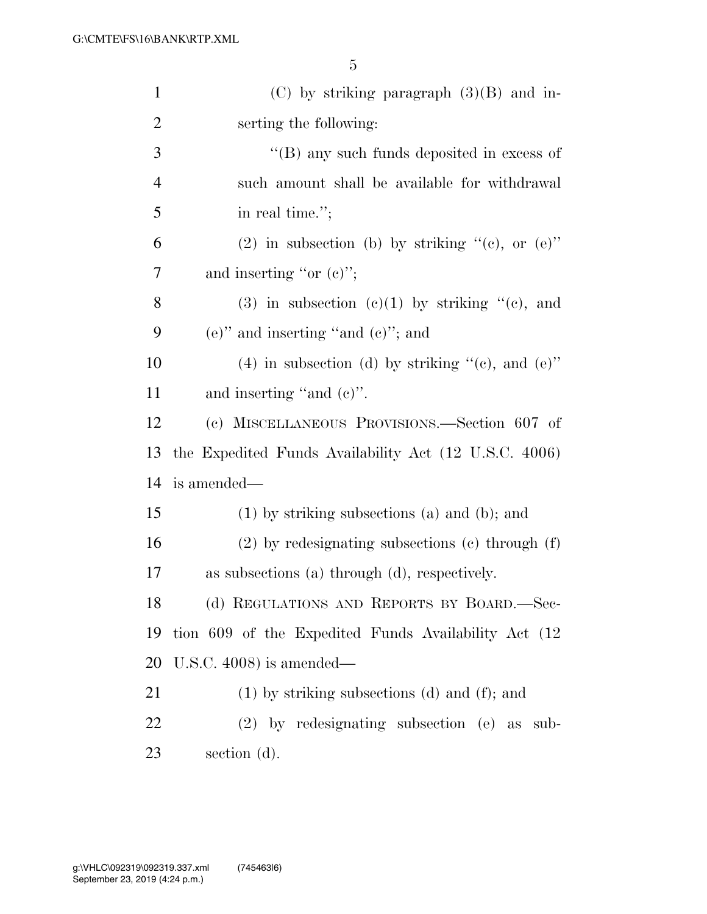| $\mathbf{1}$   | $(C)$ by striking paragraph $(3)(B)$ and in-           |
|----------------|--------------------------------------------------------|
| $\overline{2}$ | serting the following:                                 |
| 3              | "(B) any such funds deposited in excess of             |
| $\overline{4}$ | such amount shall be available for withdrawal          |
| 5              | in real time.";                                        |
| 6              | (2) in subsection (b) by striking "(c), or $(e)$ "     |
| 7              | and inserting "or $(e)$ ";                             |
| 8              | $(3)$ in subsection $(e)(1)$ by striking " $(e)$ , and |
| 9              | $(e)$ " and inserting "and $(e)$ "; and                |
| 10             | $(4)$ in subsection (d) by striking "(e), and (e)"     |
| 11             | and inserting "and $(e)$ ".                            |
| 12             | (c) MISCELLANEOUS PROVISIONS.—Section 607 of           |
| 13             | the Expedited Funds Availability Act (12 U.S.C. 4006)  |
| 14             | is amended—                                            |
| 15             | $(1)$ by striking subsections $(a)$ and $(b)$ ; and    |
| 16             | $(2)$ by redesignating subsections $(e)$ through $(f)$ |
| 17             | as subsections (a) through (d), respectively.          |
| 18             | (d) REGULATIONS AND REPORTS BY BOARD.-Sec-             |
| 19             | tion 609 of the Expedited Funds Availability Act (12)  |
| 20             | U.S.C. $4008$ ) is amended—                            |
| 21             | $(1)$ by striking subsections $(d)$ and $(f)$ ; and    |
| 22             | $(2)$ by redesignating subsection (e) as<br>sub-       |
| 23             | section (d).                                           |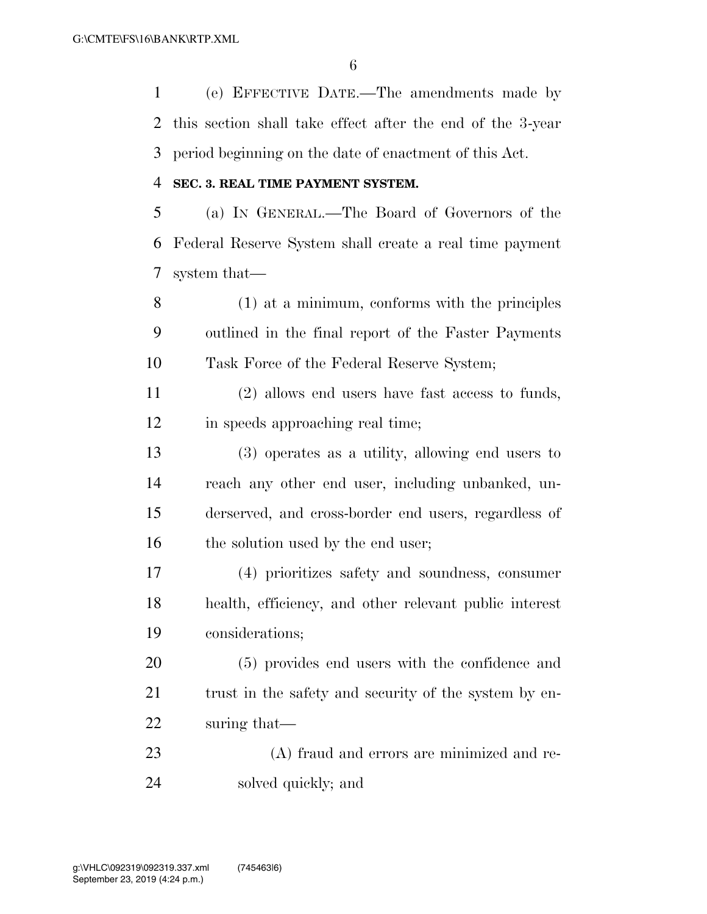(e) EFFECTIVE DATE.—The amendments made by this section shall take effect after the end of the 3-year period beginning on the date of enactment of this Act.

#### **SEC. 3. REAL TIME PAYMENT SYSTEM.**

 (a) IN GENERAL.—The Board of Governors of the Federal Reserve System shall create a real time payment system that—

 (1) at a minimum, conforms with the principles outlined in the final report of the Faster Payments Task Force of the Federal Reserve System;

 (2) allows end users have fast access to funds, in speeds approaching real time;

 (3) operates as a utility, allowing end users to reach any other end user, including unbanked, un- derserved, and cross-border end users, regardless of 16 the solution used by the end user;

 (4) prioritizes safety and soundness, consumer health, efficiency, and other relevant public interest considerations;

 (5) provides end users with the confidence and 21 trust in the safety and security of the system by en-suring that—

 (A) fraud and errors are minimized and re-solved quickly; and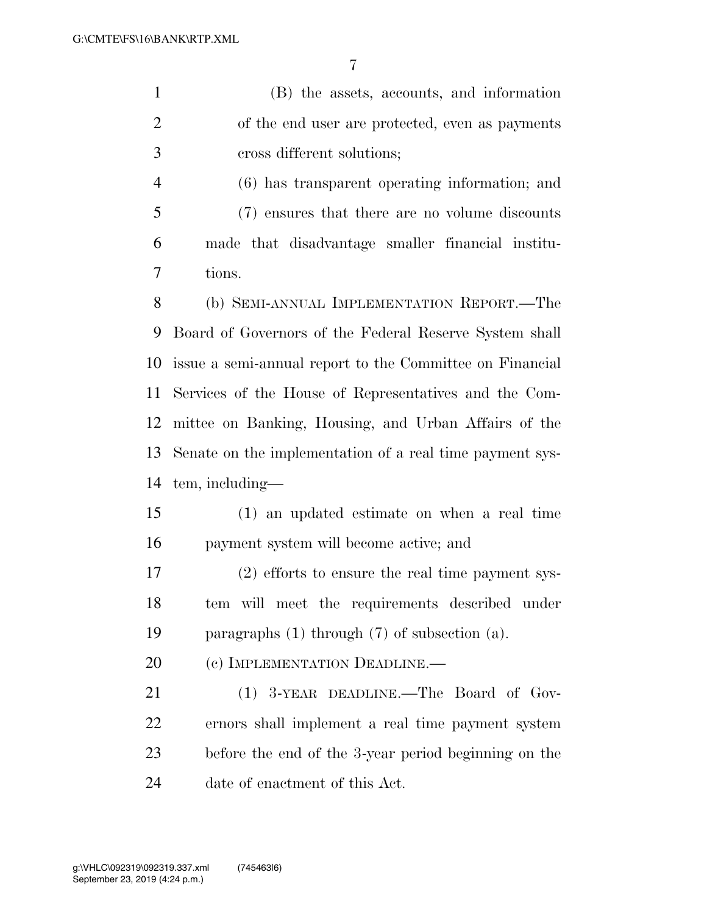(B) the assets, accounts, and information of the end user are protected, even as payments cross different solutions;

 (6) has transparent operating information; and (7) ensures that there are no volume discounts made that disadvantage smaller financial institu-tions.

 (b) SEMI-ANNUAL IMPLEMENTATION REPORT.—The Board of Governors of the Federal Reserve System shall issue a semi-annual report to the Committee on Financial Services of the House of Representatives and the Com- mittee on Banking, Housing, and Urban Affairs of the Senate on the implementation of a real time payment sys-tem, including—

 (1) an updated estimate on when a real time payment system will become active; and

 (2) efforts to ensure the real time payment sys- tem will meet the requirements described under paragraphs (1) through (7) of subsection (a).

20 (c) IMPLEMENTATION DEADLINE.

 (1) 3-YEAR DEADLINE.—The Board of Gov- ernors shall implement a real time payment system before the end of the 3-year period beginning on the date of enactment of this Act.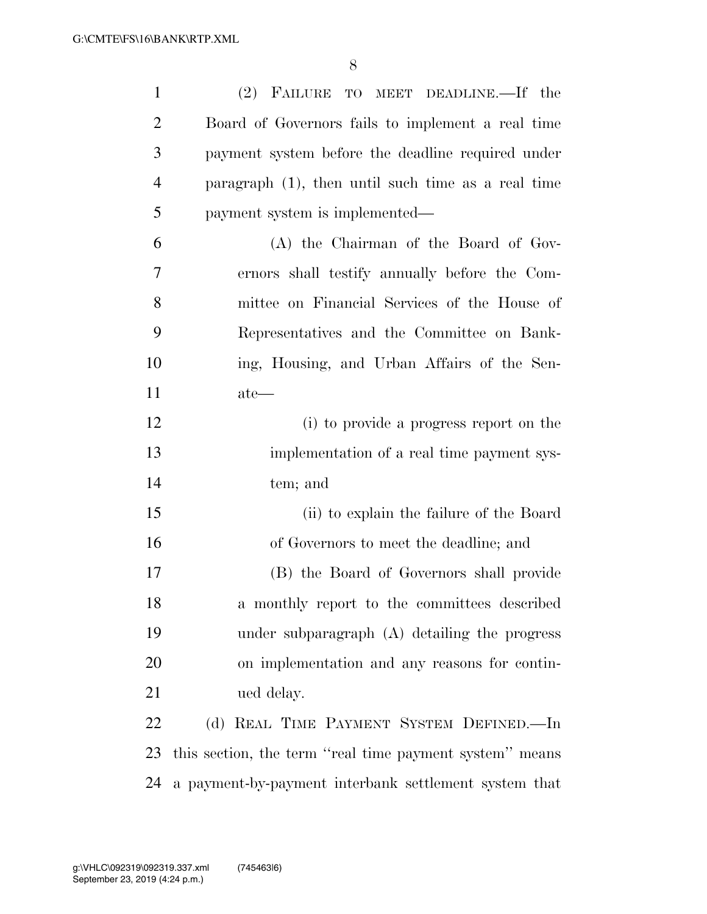| $\mathbf{1}$   | (2) FAILURE TO MEET DEADLINE.—If the                    |
|----------------|---------------------------------------------------------|
| $\overline{2}$ | Board of Governors fails to implement a real time       |
| 3              | payment system before the deadline required under       |
| $\overline{4}$ | paragraph $(1)$ , then until such time as a real time   |
| 5              | payment system is implemented—                          |
| 6              | (A) the Chairman of the Board of Gov-                   |
| 7              | ernors shall testify annually before the Com-           |
| 8              | mittee on Financial Services of the House of            |
| 9              | Representatives and the Committee on Bank-              |
| 10             | ing, Housing, and Urban Affairs of the Sen-             |
| 11             | $ate$ —                                                 |
| 12             | (i) to provide a progress report on the                 |
| 13             | implementation of a real time payment sys-              |
| 14             | tem; and                                                |
| 15             | (ii) to explain the failure of the Board                |
| 16             | of Governors to meet the deadline; and                  |
| 17             | (B) the Board of Governors shall provide                |
| 18             | a monthly report to the committees described            |
| 19             | under subparagraph $(A)$ detailing the progress         |
| 20             | on implementation and any reasons for contin-           |
| 21             | ued delay.                                              |
| 22             | (d) REAL TIME PAYMENT SYSTEM DEFINED.-In                |
| 23             | this section, the term "real time payment system" means |
| 24             | a payment-by-payment interbank settlement system that   |